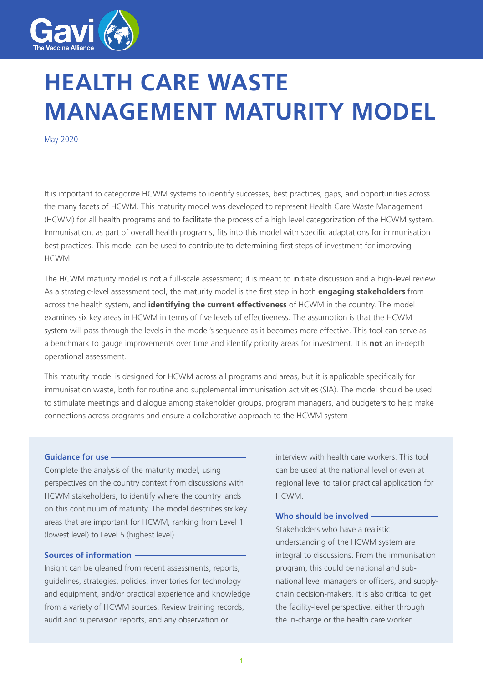

# **HEALTH CARE WASTE MANAGEMENT MATURITY MODEL**

May 2020

It is important to categorize HCWM systems to identify successes, best practices, gaps, and opportunities across the many facets of HCWM. This maturity model was developed to represent Health Care Waste Management (HCWM) for all health programs and to facilitate the process of a high level categorization of the HCWM system. Immunisation, as part of overall health programs, fits into this model with specific adaptations for immunisation best practices. This model can be used to contribute to determining first steps of investment for improving HCWM.

The HCWM maturity model is not a full-scale assessment; it is meant to initiate discussion and a high-level review. As a strategic-level assessment tool, the maturity model is the first step in both **engaging stakeholders** from across the health system, and **identifying the current effectiveness** of HCWM in the country. The model examines six key areas in HCWM in terms of five levels of effectiveness. The assumption is that the HCWM system will pass through the levels in the model's sequence as it becomes more effective. This tool can serve as a benchmark to gauge improvements over time and identify priority areas for investment. It is **not** an in-depth operational assessment.

This maturity model is designed for HCWM across all programs and areas, but it is applicable specifically for immunisation waste, both for routine and supplemental immunisation activities (SIA). The model should be used to stimulate meetings and dialogue among stakeholder groups, program managers, and budgeters to help make connections across programs and ensure a collaborative approach to the HCWM system

#### **Guidance for use**

Complete the analysis of the maturity model, using perspectives on the country context from discussions with HCWM stakeholders, to identify where the country lands on this continuum of maturity. The model describes six key areas that are important for HCWM, ranking from Level 1 (lowest level) to Level 5 (highest level).

## **Sources of information**

Insight can be gleaned from recent assessments, reports, guidelines, strategies, policies, inventories for technology and equipment, and/or practical experience and knowledge from a variety of HCWM sources. Review training records, audit and supervision reports, and any observation or

interview with health care workers. This tool can be used at the national level or even at regional level to tailor practical application for HCWM.

#### **Who should be involved**

Stakeholders who have a realistic understanding of the HCWM system are integral to discussions. From the immunisation program, this could be national and subnational level managers or officers, and supplychain decision-makers. It is also critical to get the facility-level perspective, either through the in-charge or the health care worker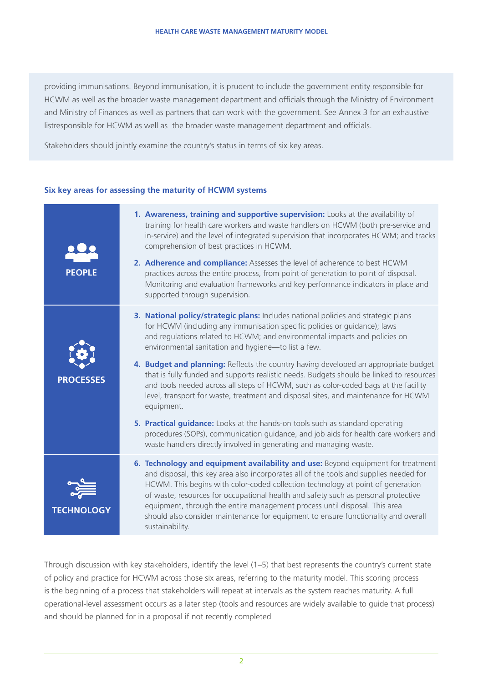providing immunisations. Beyond immunisation, it is prudent to include the government entity responsible for HCWM as well as the broader waste management department and officials through the Ministry of Environment and Ministry of Finances as well as partners that can work with the government. See Annex 3 for an exhaustive listresponsible for HCWM as well as the broader waste management department and officials.

Stakeholders should jointly examine the country's status in terms of six key areas.

## **Six key areas for assessing the maturity of HCWM systems**

| <b>PEOPLE</b>     | 1. Awareness, training and supportive supervision: Looks at the availability of<br>training for health care workers and waste handlers on HCWM (both pre-service and<br>in-service) and the level of integrated supervision that incorporates HCWM; and tracks<br>comprehension of best practices in HCWM.<br>2. Adherence and compliance: Assesses the level of adherence to best HCWM<br>practices across the entire process, from point of generation to point of disposal.<br>Monitoring and evaluation frameworks and key performance indicators in place and<br>supported through supervision.                                                                                                                                                                                                                                                       |
|-------------------|------------------------------------------------------------------------------------------------------------------------------------------------------------------------------------------------------------------------------------------------------------------------------------------------------------------------------------------------------------------------------------------------------------------------------------------------------------------------------------------------------------------------------------------------------------------------------------------------------------------------------------------------------------------------------------------------------------------------------------------------------------------------------------------------------------------------------------------------------------|
| <b>PROCESSES</b>  | 3. National policy/strategic plans: Includes national policies and strategic plans<br>for HCWM (including any immunisation specific policies or guidance); laws<br>and regulations related to HCWM; and environmental impacts and policies on<br>environmental sanitation and hygiene-to list a few.<br>4. Budget and planning: Reflects the country having developed an appropriate budget<br>that is fully funded and supports realistic needs. Budgets should be linked to resources<br>and tools needed across all steps of HCWM, such as color-coded bags at the facility<br>level, transport for waste, treatment and disposal sites, and maintenance for HCWM<br>equipment.<br>5. Practical guidance: Looks at the hands-on tools such as standard operating<br>procedures (SOPs), communication guidance, and job aids for health care workers and |
|                   | waste handlers directly involved in generating and managing waste.                                                                                                                                                                                                                                                                                                                                                                                                                                                                                                                                                                                                                                                                                                                                                                                         |
| <b>TECHNOLOGY</b> | 6. Technology and equipment availability and use: Beyond equipment for treatment<br>and disposal, this key area also incorporates all of the tools and supplies needed for<br>HCWM. This begins with color-coded collection technology at point of generation<br>of waste, resources for occupational health and safety such as personal protective<br>equipment, through the entire management process until disposal. This area<br>should also consider maintenance for equipment to ensure functionality and overall<br>sustainability.                                                                                                                                                                                                                                                                                                                 |

Through discussion with key stakeholders, identify the level (1–5) that best represents the country's current state of policy and practice for HCWM across those six areas, referring to the maturity model. This scoring process is the beginning of a process that stakeholders will repeat at intervals as the system reaches maturity. A full operational-level assessment occurs as a later step (tools and resources are widely available to guide that process) and should be planned for in a proposal if not recently completed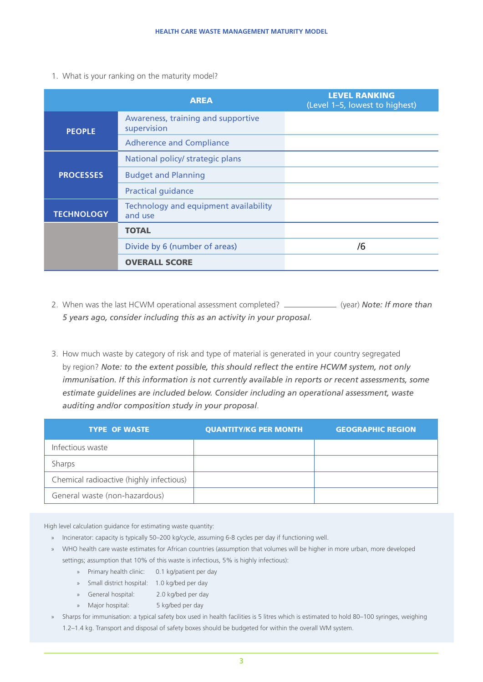1. What is your ranking on the maturity model?

|                   | <b>AREA</b>                                       | <b>LEVEL RANKING</b><br>(Level 1-5, lowest to highest) |
|-------------------|---------------------------------------------------|--------------------------------------------------------|
| <b>PEOPLE</b>     | Awareness, training and supportive<br>supervision |                                                        |
|                   | <b>Adherence and Compliance</b>                   |                                                        |
|                   | National policy/ strategic plans                  |                                                        |
| <b>PROCESSES</b>  | <b>Budget and Planning</b>                        |                                                        |
|                   | <b>Practical guidance</b>                         |                                                        |
| <b>TECHNOLOGY</b> | Technology and equipment availability<br>and use  |                                                        |
|                   | <b>TOTAL</b>                                      |                                                        |
|                   | Divide by 6 (number of areas)                     | /6                                                     |
|                   | <b>OVERALL SCORE</b>                              |                                                        |

- 2. When was the last HCWM operational assessment completed? \_\_\_\_\_\_\_\_\_\_\_\_\_ (year) **Note: If more than** *5 years ago, consider including this as an activity in your proposal.*
- 3. How much waste by category of risk and type of material is generated in your country segregated by region? *Note: to the extent possible, this should reflect the entire HCWM system, not only*  immunisation. If this information is not currently available in reports or recent assessments, some *estimate guidelines are included below. Consider including an operational assessment, waste auditing and/or composition study in your proposal*.

| <b>TYPE OF WASTE</b>                     | <b>QUANTITY/KG PER MONTH</b> | <b>GEOGRAPHIC REGION</b> |
|------------------------------------------|------------------------------|--------------------------|
| Infectious waste                         |                              |                          |
| Sharps                                   |                              |                          |
| Chemical radioactive (highly infectious) |                              |                          |
| General waste (non-hazardous)            |                              |                          |

High level calculation guidance for estimating waste quantity:

- » Incinerator: capacity is typically 50–200 kg/cycle, assuming 6-8 cycles per day if functioning well.
- » WHO health care waste estimates for African countries (assumption that volumes will be higher in more urban, more developed settings; assumption that 10% of this waste is infectious, 5% is highly infectious):
	- » Primary health clinic: 0.1 kg/patient per day
	- » Small district hospital: 1.0 kg/bed per day
	- » General hospital: 2.0 kg/bed per day
	- » Major hospital: 5 kg/bed per day
- » Sharps for immunisation: a typical safety box used in health facilities is 5 litres which is estimated to hold 80-100 syringes, weighing 1.2–1.4 kg. Transport and disposal of safety boxes should be budgeted for within the overall WM system.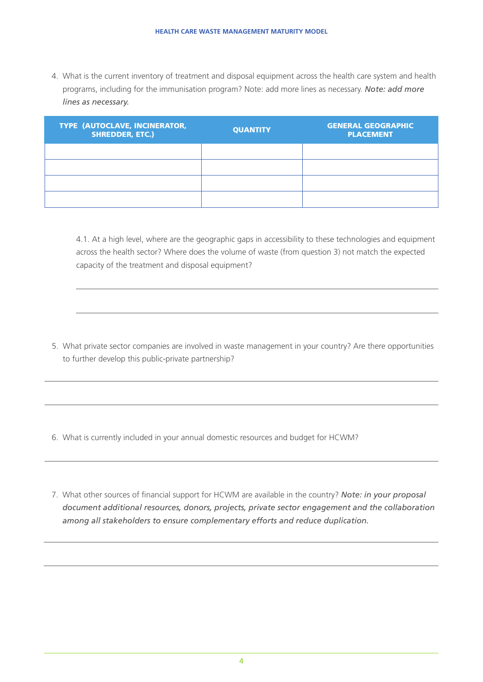4. What is the current inventory of treatment and disposal equipment across the health care system and health programs, including for the immunisation program? Note: add more lines as necessary. *Note: add more lines as necessary.*

| <b>TYPE (AUTOCLAVE, INCINERATOR,</b><br><b>SHREDDER, ETC.)</b> | <b>QUANTITY</b> | <b>GENERAL GEOGRAPHIC</b><br><b>PLACEMENT</b> |
|----------------------------------------------------------------|-----------------|-----------------------------------------------|
|                                                                |                 |                                               |
|                                                                |                 |                                               |
|                                                                |                 |                                               |
|                                                                |                 |                                               |

4.1. At a high level, where are the geographic gaps in accessibility to these technologies and equipment across the health sector? Where does the volume of waste (from question 3) not match the expected capacity of the treatment and disposal equipment?

5. What private sector companies are involved in waste management in your country? Are there opportunities to further develop this public-private partnership?

6. What is currently included in your annual domestic resources and budget for HCWM?

7. What other sources of financial support for HCWM are available in the country? *Note: in your proposal document additional resources, donors, projects, private sector engagement and the collaboration among all stakeholders to ensure complementary efforts and reduce duplication.*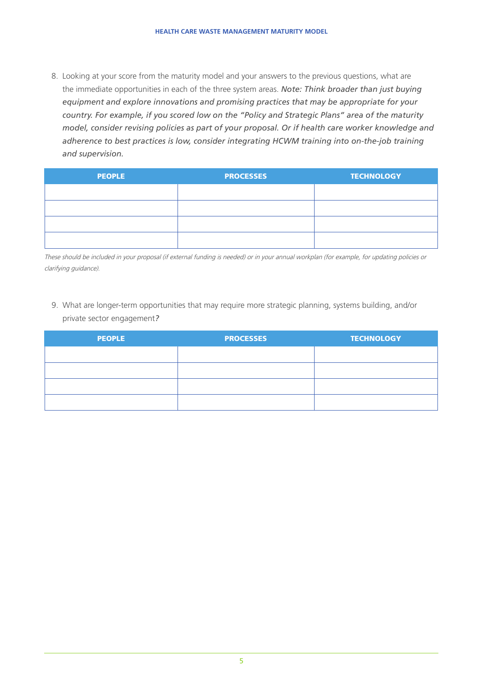8. Looking at your score from the maturity model and your answers to the previous questions, what are the immediate opportunities in each of the three system areas. *Note: Think broader than just buying equipment and explore innovations and promising practices that may be appropriate for your country. For example, if you scored low on the "Policy and Strategic Plans" area of the maturity model, consider revising policies as part of your proposal. Or if health care worker knowledge and*  adherence to best practices is low, consider integrating HCWM training into on-the-job training *and supervision.*

| <b>PEOPLE</b> | <b>PROCESSES</b> | <b>TECHNOLOGY</b> |
|---------------|------------------|-------------------|
|               |                  |                   |
|               |                  |                   |
|               |                  |                   |
|               |                  |                   |

These should be included in your proposal (if external funding is needed) or in your annual workplan (for example, for updating policies or clarifying guidance).

9. What are longer-term opportunities that may require more strategic planning, systems building, and/or private sector engagement*?*

| <b>PEOPLE</b> | <b>PROCESSES</b> | <b>TECHNOLOGY</b> |
|---------------|------------------|-------------------|
|               |                  |                   |
|               |                  |                   |
|               |                  |                   |
|               |                  |                   |